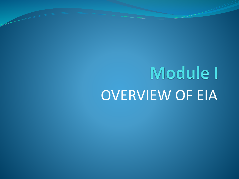# Module I OVERVIEW OF EIA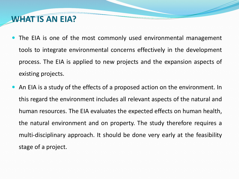# **WHAT IS AN EIA?**

- The EIA is one of the most commonly used environmental management tools to integrate environmental concerns effectively in the development process. The EIA is applied to new projects and the expansion aspects of existing projects.
- An EIA is a study of the effects of a proposed action on the environment. In this regard the environment includes all relevant aspects of the natural and human resources. The EIA evaluates the expected effects on human health, the natural environment and on property. The study therefore requires a multi-disciplinary approach. It should be done very early at the feasibility stage of a project.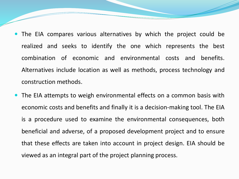- The EIA compares various alternatives by which the project could be realized and seeks to identify the one which represents the best combination of economic and environmental costs and benefits. Alternatives include location as well as methods, process technology and construction methods.
- The EIA attempts to weigh environmental effects on a common basis with economic costs and benefits and finally it is a decision-making tool. The EIA is a procedure used to examine the environmental consequences, both beneficial and adverse, of a proposed development project and to ensure that these effects are taken into account in project design. EIA should be viewed as an integral part of the project planning process.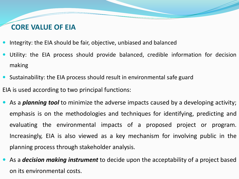## **CORE VALUE OF EIA**

- Integrity: the EIA should be fair, objective, unbiased and balanced
- Utility: the EIA process should provide balanced, credible information for decision making
- Sustainability: the EIA process should result in environmental safe guard EIA is used according to two principal functions:
- As a *planning tool* to minimize the adverse impacts caused by a developing activity; emphasis is on the methodologies and techniques for identifying, predicting and evaluating the environmental impacts of a proposed project or program. Increasingly, EIA is also viewed as a key mechanism for involving public in the planning process through stakeholder analysis.
- As a *decision making instrument* to decide upon the acceptability of a project based on its environmental costs.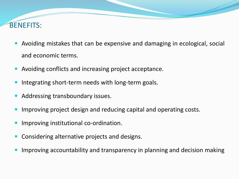## BENEFITS:

- Avoiding mistakes that can be expensive and damaging in ecological, social and economic terms.
- Avoiding conflicts and increasing project acceptance.
- Integrating short-term needs with long-term goals.
- Addressing transboundary issues.
- Improving project design and reducing capital and operating costs.
- Improving institutional co-ordination.
- Considering alternative projects and designs.
- Improving accountability and transparency in planning and decision making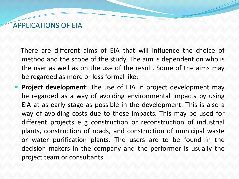### APPLICATIONS OF EIA

There are different aims of EIA that will influence the choice of method and the scope of the study. The aim is dependent on who is the user as well as on the use of the result. Some of the aims may be regarded as more or less formal like:

 **Project development**: The use of EIA in project development may be regarded as a way of avoiding environmental impacts by using EIA at as early stage as possible in the development. This is also a way of avoiding costs due to these impacts. This may be used for different projects e g construction or reconstruction of industrial plants, construction of roads, and construction of municipal waste or water purification plants. The users are to be found in the decision makers in the company and the performer is usually the project team or consultants.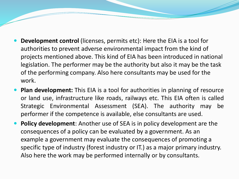- **Development control** (licenses, permits etc): Here the EIA is a tool for authorities to prevent adverse environmental impact from the kind of projects mentioned above. This kind of EIA has been introduced in national legislation. The performer may be the authority but also it may be the task of the performing company. Also here consultants may be used for the work.
- **Plan development:** This EIA is a tool for authorities in planning of resource or land use, infrastructure like roads, railways etc. This EIA often is called Strategic Environmental Assessment (SEA). The authority may be performer if the competence is available, else consultants are used.
- **Policy development**: Another use of SEA is in policy development are the consequences of a policy can be evaluated by a government. As an example a government may evaluate the consequences of promoting a specific type of industry (forest industry or IT.) as a major primary industry. Also here the work may be performed internally or by consultants.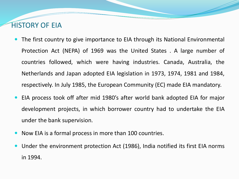## HISTORY OF EIA

- The first country to give importance to EIA through its National Environmental Protection Act (NEPA) of 1969 was the United States . A large number of countries followed, which were having industries. Canada, Australia, the Netherlands and Japan adopted EIA legislation in 1973, 1974, 1981 and 1984, respectively. In July 1985, the European Community (EC) made EIA mandatory.
- EIA process took off after mid 1980's after world bank adopted EIA for major development projects, in which borrower country had to undertake the EIA under the bank supervision.
- Now EIA is a formal process in more than 100 countries.
- Under the environment protection Act (1986), India notified its first EIA norms in 1994.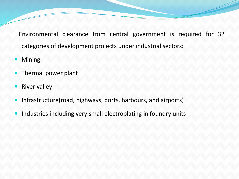Environmental clearance from central government is required for 32 categories of development projects under industrial sectors:

- Mining
- Thermal power plant
- River valley
- Infrastructure(road, highways, ports, harbours, and airports)
- Industries including very small electroplating in foundry units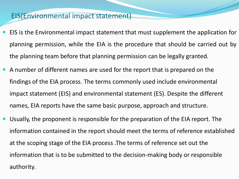#### EIS(Environmental impact statement)

- EIS is the Environmental impact statement that must supplement the application for planning permission, while the EIA is the procedure that should be carried out by the planning team before that planning permission can be legally granted.
- A number of different names are used for the report that is prepared on the findings of the EIA process. The terms commonly used include environmental impact statement (EIS) and environmental statement (ES). Despite the different names, EIA reports have the same basic purpose, approach and structure.
- Usually, the proponent is responsible for the preparation of the EIA report. The information contained in the report should meet the terms of reference established at the scoping stage of the EIA process .The terms of reference set out the information that is to be submitted to the decision-making body or responsible authority.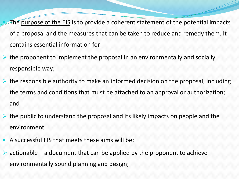The purpose of the EIS is to provide a coherent statement of the potential impacts of a proposal and the measures that can be taken to reduce and remedy them. It contains essential information for:

- $\triangleright$  the proponent to implement the proposal in an environmentally and socially responsible way;
- $\triangleright$  the responsible authority to make an informed decision on the proposal, including the terms and conditions that must be attached to an approval or authorization; and
- $\triangleright$  the public to understand the proposal and its likely impacts on people and the environment.
- A successful EIS that meets these aims will be:
- ➢ actionable a document that can be applied by the proponent to achieve environmentally sound planning and design;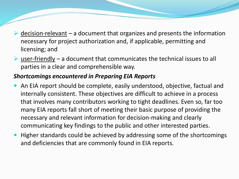- $\triangleright$  decision-relevant a document that organizes and presents the information necessary for project authorization and, if applicable, permitting and licensing; and
- $\triangleright$  user-friendly a document that communicates the technical issues to all parties in a clear and comprehensible way.

#### *Shortcomings encountered in Preparing EIA Reports*

- An EIA report should be complete, easily understood, objective, factual and internally consistent. These objectives are difficult to achieve in a process that involves many contributors working to tight deadlines. Even so, far too many EIA reports fall short of meeting their basic purpose of providing the necessary and relevant information for decision-making and clearly communicating key findings to the public and other interested parties.
- Higher standards could be achieved by addressing some of the shortcomings and deficiencies that are commonly found in EIA reports.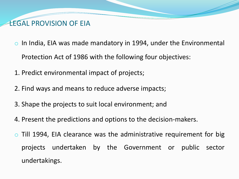# LEGAL PROVISION OF EIA

- $\circ$  In India, EIA was made mandatory in 1994, under the Environmental Protection Act of 1986 with the following four objectives:
- 1. Predict environmental impact of projects;
- 2. Find ways and means to reduce adverse impacts;
- 3. Shape the projects to suit local environment; and
- 4. Present the predictions and options to the decision-makers.
- $\circ$  Till 1994, EIA clearance was the administrative requirement for big projects undertaken by the Government or public sector undertakings.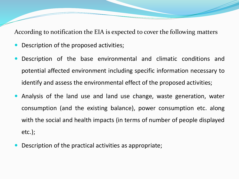According to notification the EIA is expected to cover the following matters

- Description of the proposed activities;
- Description of the base environmental and climatic conditions and potential affected environment including specific information necessary to identify and assess the environmental effect of the proposed activities;
- Analysis of the land use and land use change, waste generation, water consumption (and the existing balance), power consumption etc. along with the social and health impacts (in terms of number of people displayed etc.);
- Description of the practical activities as appropriate;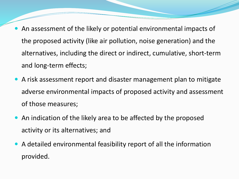- An assessment of the likely or potential environmental impacts of the proposed activity (like air pollution, noise generation) and the alternatives, including the direct or indirect, cumulative, short-term and long-term effects;
- A risk assessment report and disaster management plan to mitigate adverse environmental impacts of proposed activity and assessment of those measures;
- An indication of the likely area to be affected by the proposed activity or its alternatives; and
- A detailed environmental feasibility report of all the information provided.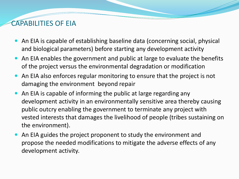# CAPABILITIES OF EIA

- An EIA is capable of establishing baseline data (concerning social, physical and biological parameters) before starting any development activity
- An EIA enables the government and public at large to evaluate the benefits of the project versus the environmental degradation or modification
- An EIA also enforces regular monitoring to ensure that the project is not damaging the environment beyond repair
- An EIA is capable of informing the public at large regarding any development activity in an environmentally sensitive area thereby causing public outcry enabling the government to terminate any project with vested interests that damages the livelihood of people (tribes sustaining on the environment).
- An EIA guides the project proponent to study the environment and propose the needed modifications to mitigate the adverse effects of any development activity.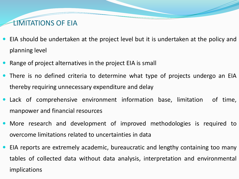# LIMITATIONS OF EIA

- EIA should be undertaken at the project level but it is undertaken at the policy and planning level
- Range of project alternatives in the project EIA is small
- There is no defined criteria to determine what type of projects undergo an EIA thereby requiring unnecessary expenditure and delay
- Lack of comprehensive environment information base, limitation of time, manpower and financial resources
- More research and development of improved methodologies is required to overcome limitations related to uncertainties in data
- EIA reports are extremely academic, bureaucratic and lengthy containing too many tables of collected data without data analysis, interpretation and environmental implications